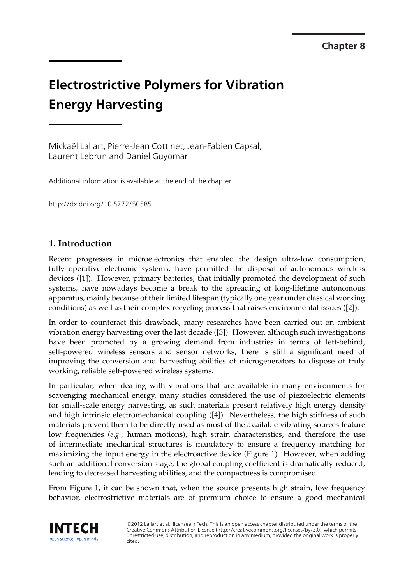# **Electrostrictive Polymers for Vibration Energy Harvesting**

Mickaël Lallart, Pierre-Jean Cottinet, Jean-Fabien Capsal, Laurent Lebrun and Daniel Guyomar

Additional information is available at the end of the chapter

http://dx.doi.org/10.5772/50585

# **1. Introduction**

Recent progresses in microelectronics that enabled the design ultra-low consumption, fully operative electronic systems, have permitted the disposal of autonomous wireless devices ([1]). However, primary batteries, that initially promoted the development of such systems, have nowadays become a break to the spreading of long-lifetime autonomous apparatus, mainly because of their limited lifespan (typically one year under classical working conditions) as well as their complex recycling process that raises environmental issues ([2]).

In order to counteract this drawback, many researches have been carried out on ambient vibration energy harvesting over the last decade ([3]). However, although such investigations have been promoted by a growing demand from industries in terms of left-behind, self-powered wireless sensors and sensor networks, there is still a significant need of improving the conversion and harvesting abilities of microgenerators to dispose of truly working, reliable self-powered wireless systems.

In particular, when dealing with vibrations that are available in many environments for scavenging mechanical energy, many studies considered the use of piezoelectric elements for small-scale energy harvesting, as such materials present relatively high energy density and high intrinsic electromechanical coupling ([4]). Nevertheless, the high stiffness of such materials prevent them to be directly used as most of the available vibrating sources feature low frequencies (*e.g.*, human motions), high strain characteristics, and therefore the use of intermediate mechanical structures is mandatory to ensure a frequency matching for maximizing the input energy in the electroactive device (Figure 1). However, when adding such an additional conversion stage, the global coupling coefficient is dramatically reduced, leading to decreased harvesting abilities, and the compactness is compromised.

From Figure 1, it can be shown that, when the source presents high strain, low frequency behavior, electrostrictive materials are of premium choice to ensure a good mechanical



©2012 Lallart et al., licensee InTech. This is an open access chapter distributed under the terms of the Creative Commons Attribution License (http://creativecommons.org/licenses/by/3.0), which permits unrestricted use, distribution, and reproduction in any medium, provided the original work is properly cited.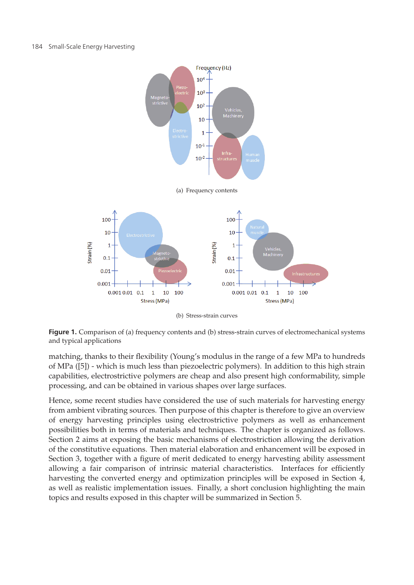



(b) Stress-strain curves

**Figure 1.** Comparison of (a) frequency contents and (b) stress-strain curves of electromechanical systems and typical applications

matching, thanks to their flexibility (Young's modulus in the range of a few MPa to hundreds of MPa ([5]) - which is much less than piezoelectric polymers). In addition to this high strain capabilities, electrostrictive polymers are cheap and also present high conformability, simple processing, and can be obtained in various shapes over large surfaces.

Hence, some recent studies have considered the use of such materials for harvesting energy from ambient vibrating sources. Then purpose of this chapter is therefore to give an overview of energy harvesting principles using electrostrictive polymers as well as enhancement possibilities both in terms of materials and techniques. The chapter is organized as follows. Section 2 aims at exposing the basic mechanisms of electrostriction allowing the derivation of the constitutive equations. Then material elaboration and enhancement will be exposed in Section 3, together with a figure of merit dedicated to energy harvesting ability assessment allowing a fair comparison of intrinsic material characteristics. Interfaces for efficiently harvesting the converted energy and optimization principles will be exposed in Section 4, as well as realistic implementation issues. Finally, a short conclusion highlighting the main topics and results exposed in this chapter will be summarized in Section 5.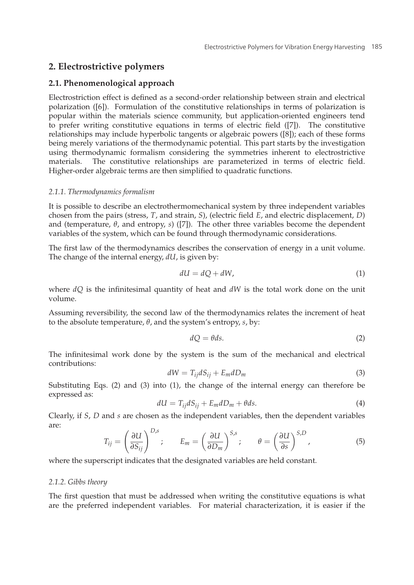## **2. Electrostrictive polymers**

## **2.1. Phenomenological approach**

Electrostriction effect is defined as a second-order relationship between strain and electrical polarization ([6]). Formulation of the constitutive relationships in terms of polarization is popular within the materials science community, but application-oriented engineers tend to prefer writing constitutive equations in terms of electric field ([7]). The constitutive relationships may include hyperbolic tangents or algebraic powers ([8]); each of these forms being merely variations of the thermodynamic potential. This part starts by the investigation using thermodynamic formalism considering the symmetries inherent to electrostrictive materials. The constitutive relationships are parameterized in terms of electric field. Higher-order algebraic terms are then simplified to quadratic functions.

#### *2.1.1. Thermodynamics formalism*

It is possible to describe an electrothermomechanical system by three independent variables chosen from the pairs (stress, *T*, and strain, *S*), (electric field *E*, and electric displacement, *D*) and (temperature, *θ*, and entropy, *s*) ([7]). The other three variables become the dependent variables of the system, which can be found through thermodynamic considerations.

The first law of the thermodynamics describes the conservation of energy in a unit volume. The change of the internal energy, *dU*, is given by:

$$
dU = dQ + dW, \tag{1}
$$

where *dQ* is the infinitesimal quantity of heat and *dW* is the total work done on the unit volume.

Assuming reversibility, the second law of the thermodynamics relates the increment of heat to the absolute temperature, *θ*, and the system's entropy, *s*, by:

$$
dQ = \theta ds. \tag{2}
$$

The infinitesimal work done by the system is the sum of the mechanical and electrical contributions:

$$
dW = T_{ij}dS_{ij} + E_m dD_m \tag{3}
$$

Substituting Eqs. (2) and (3) into (1), the change of the internal energy can therefore be expressed as:

$$
dU = T_{ij}dS_{ij} + E_m dD_m + \theta ds. \tag{4}
$$

Clearly, if *S*, *D* and *s* are chosen as the independent variables, then the dependent variables are:

$$
T_{ij} = \left(\frac{\partial U}{\partial S_{ij}}\right)^{D,s}; \qquad E_m = \left(\frac{\partial U}{\partial D_m}\right)^{S,s}; \qquad \theta = \left(\frac{\partial U}{\partial s}\right)^{S,D}, \tag{5}
$$

where the superscript indicates that the designated variables are held constant.

#### *2.1.2. Gibbs theory*

The first question that must be addressed when writing the constitutive equations is what are the preferred independent variables. For material characterization, it is easier if the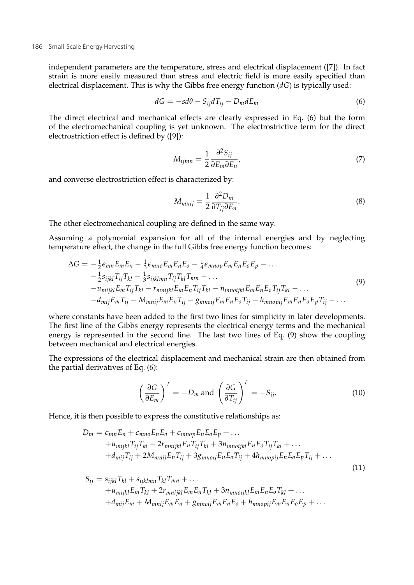independent parameters are the temperature, stress and electrical displacement ([7]). In fact strain is more easily measured than stress and electric field is more easily specified than electrical displacement. This is why the Gibbs free energy function (*dG*) is typically used:

$$
dG = -sd\theta - S_{ij}dT_{ij} - D_m dE_m \tag{6}
$$

The direct electrical and mechanical effects are clearly expressed in Eq. (6) but the form of the electromechanical coupling is yet unknown. The electrostrictive term for the direct electrostriction effect is defined by ([9]):

$$
M_{ijmn} = \frac{1}{2} \frac{\partial^2 S_{ij}}{\partial E_m \partial E_n},\tag{7}
$$

and converse electrostriction effect is characterized by:

$$
M_{mnij} = \frac{1}{2} \frac{\partial^2 D_m}{\partial T_{ij} \partial E_n}.
$$
\n(8)

The other electromechanical coupling are defined in the same way.

Assuming a polynomial expansion for all of the internal energies and by neglecting temperature effect, the change in the full Gibbs free energy function becomes:

$$
\Delta G = -\frac{1}{2}\epsilon_{mn}E_mE_n - \frac{1}{3}\epsilon_{mno}E_mE_nE_0 - \frac{1}{4}\epsilon_{mnop}E_mE_nE_0E_p - \dots
$$
  
\n
$$
-\frac{1}{2}s_{ijkl}T_{ij}T_{kl} - \frac{1}{3}s_{ijklmn}T_{ij}T_{kl}T_{mn} - \dots
$$
  
\n
$$
-u_{mijkl}E_mT_{ij}T_{kl} - r_{mnijkl}E_mE_nT_{ij}T_{kl} - n_{mnoijkl}E_mE_nE_0T_{ij}T_{kl} - \dots
$$
  
\n
$$
-d_{mij}E_mT_{ij} - M_{mnij}E_mE_nT_{ij} - g_{mnoij}E_mE_nE_0T_{ij} - h_{mnopij}E_mE_nE_0E_pT_{ij} - \dots
$$
\n(9)

where constants have been added to the first two lines for simplicity in later developments. The first line of the Gibbs energy represents the electrical energy terms and the mechanical energy is represented in the second line. The last two lines of Eq. (9) show the coupling between mechanical and electrical energies.

The expressions of the electrical displacement and mechanical strain are then obtained from the partial derivatives of Eq. (6):

$$
\left(\frac{\partial G}{\partial E_m}\right)^T = -D_m \text{ and } \left(\frac{\partial G}{\partial T_{ij}}\right)^E = -S_{ij}.
$$
 (10)

Hence, it is then possible to express the constitutive relationships as:

$$
D_m = \epsilon_{mn} E_n + \epsilon_{mno} E_n E_o + \epsilon_{mno} E_n E_o E_p + \dots
$$
  
+  $u_{mijkl} T_{ij} T_{kl} + 2r_{mnijkl} E_n T_{ij} T_{kl} + 3n_{mnoijkl} E_n E_o T_{ij} T_{kl} + \dots$   
+  $d_{mij} T_{ij} + 2M_{mnij} E_n T_{ij} + 3g_{mnoij} E_n E_o T_{ij} + 4h_{mnopij} E_n E_o E_p T_{ij} + \dots$  (11)

$$
S_{ij} = s_{ijkl}T_{kl} + s_{ijklmn}T_{kl}T_{mn} + \dots
$$
  
+  $u_{mijkl}E_mT_{kl} + 2r_{mnijkl}E_mE_nT_{kl} + 3n_{mnoijkl}E_mE_nE_oT_{kl} + \dots$   
+  $d_{mij}E_m + M_{mnij}E_mE_n + g_{mnoij}E_mE_nE_o + h_{mnopij}E_mE_nE_oE_p + \dots$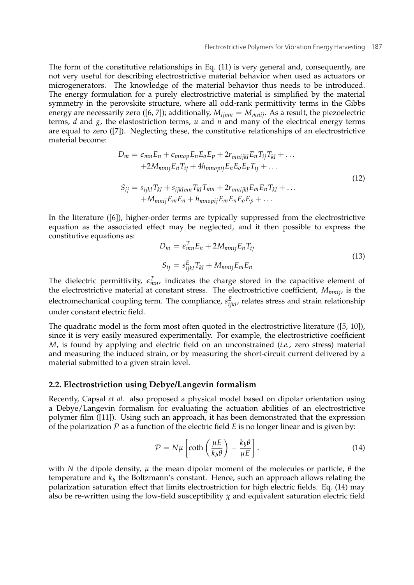The form of the constitutive relationships in Eq. (11) is very general and, consequently, are not very useful for describing electrostrictive material behavior when used as actuators or microgenerators. The knowledge of the material behavior thus needs to be introduced. The energy formulation for a purely electrostrictive material is simplified by the material symmetry in the perovskite structure, where all odd-rank permittivity terms in the Gibbs energy are necessarily zero ([6, 7]); additionally,  $M_{ijmn} = M_{mnij}$ . As a result, the piezoelectric terms, *d* and *g*, the elastostriction terms, *u* and *n*<sup> $\alpha$ </sup> and many of the electrical energy terms are equal to zero ([7]). Neglecting these, the constitutive relationships of an electrostrictive material become:

$$
D_m = \epsilon_{mn} E_n + \epsilon_{mnop} E_n E_o E_p + 2r_{mnijkl} E_n T_{ij} T_{kl} + \dots
$$
  
+2M\_{mnij} E\_n T\_{ij} + 4h\_{mnopij} E\_n E\_o E\_p T\_{ij} + \dots  

$$
S_{ij} = s_{ijkl} T_{kl} + s_{ijklmn} T_{kl} T_{mn} + 2r_{mnijkl} E_m E_n T_{kl} + \dots
$$
  
+M\_{mnij} E\_m E\_n + h\_{mnopij} E\_m E\_n E\_o E\_p + \dots (12)

In the literature ([6]), higher-order terms are typically suppressed from the electrostrictive equation as the associated effect may be neglected, and it then possible to express the constitutive equations as:

$$
D_m = \epsilon_{mn}^T E_n + 2M_{mnij} E_n T_{ij}
$$
  
\n
$$
S_{ij} = s_{ijkl}^E T_{kl} + M_{mnij} E_m E_n
$$
\n(13)

The dielectric permittivity,  $\epsilon_{mn}^T$ , indicates the charge stored in the capacitive element of the electrostrictive material at constant stress. The electrostrictive coefficient, *Mmnij*, is the electromechanical coupling term. The compliance,  $s^{E}_{ijkl}$ , relates stress and strain relationship under constant electric field.

The quadratic model is the form most often quoted in the electrostrictive literature ([5, 10]), since it is very easily measured experimentally. For example, the electrostrictive coefficient *M*, is found by applying and electric field on an unconstrained (*i.e.*, zero stress) material and measuring the induced strain, or by measuring the short-circuit current delivered by a material submitted to a given strain level.

## **2.2. Electrostriction using Debye/Langevin formalism**

Recently, Capsal *et al.* also proposed a physical model based on dipolar orientation using a Debye/Langevin formalism for evaluating the actuation abilities of an electrostrictive polymer film ([11]). Using such an approach, it has been demonstrated that the expression of the polarization  $P$  as a function of the electric field  $E$  is no longer linear and is given by:

$$
\mathcal{P} = N\mu \left[ \coth\left(\frac{\mu E}{k_b \theta}\right) - \frac{k_b \theta}{\mu E} \right].
$$
 (14)

with *N* the dipole density,  $\mu$  the mean dipolar moment of the molecules or particle,  $\theta$  the temperature and  $k_b$  the Boltzmann's constant. Hence, such an approach allows relating the polarization saturation effect that limits electrostriction for high electric fields. Eq. (14) may also be re-written using the low-field susceptibility  $\chi$  and equivalent saturation electric field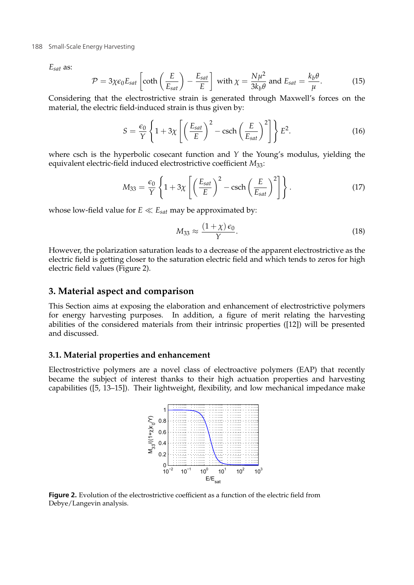#### 188 Small-Scale Energy Harvesting

*Esat* as:

$$
\mathcal{P} = 3\chi\epsilon_0 E_{sat} \left[ \coth\left(\frac{E}{E_{sat}}\right) - \frac{E_{sat}}{E} \right] \text{ with } \chi = \frac{N\mu^2}{3k_b\theta} \text{ and } E_{sat} = \frac{k_b\theta}{\mu}. \tag{15}
$$

Considering that the electrostrictive strain is generated through Maxwell's forces on the material, the electric field-induced strain is thus given by:

$$
S = \frac{\epsilon_0}{Y} \left\{ 1 + 3\chi \left[ \left( \frac{E_{sat}}{E} \right)^2 - \text{csch} \left( \frac{E}{E_{sat}} \right)^2 \right] \right\} E^2.
$$
 (16)

where csch is the hyperbolic cosecant function and *Y* the Young's modulus, yielding the equivalent electric-field induced electrostrictive coefficient *M*33:

$$
M_{33} = \frac{\epsilon_0}{Y} \left\{ 1 + 3\chi \left[ \left( \frac{E_{sat}}{E} \right)^2 - \text{csch} \left( \frac{E}{E_{sat}} \right)^2 \right] \right\}.
$$
 (17)

whose low-field value for  $E \ll E_{sat}$  may be approximated by:

$$
M_{33} \approx \frac{(1+\chi)\,\epsilon_0}{\gamma}.\tag{18}
$$

However, the polarization saturation leads to a decrease of the apparent electrostrictive as the electric field is getting closer to the saturation electric field and which tends to zeros for high electric field values (Figure 2).

## **3. Material aspect and comparison**

This Section aims at exposing the elaboration and enhancement of electrostrictive polymers for energy harvesting purposes. In addition, a figure of merit relating the harvesting abilities of the considered materials from their intrinsic properties ([12]) will be presented and discussed.

## **3.1. Material properties and enhancement**

Electrostrictive polymers are a novel class of electroactive polymers (EAP) that recently became the subject of interest thanks to their high actuation properties and harvesting capabilities ([5, 13–15]). Their lightweight, flexibility, and low mechanical impedance make



**Figure 2.** Evolution of the electrostrictive coefficient as a function of the electric field from Debye/Langevin analysis.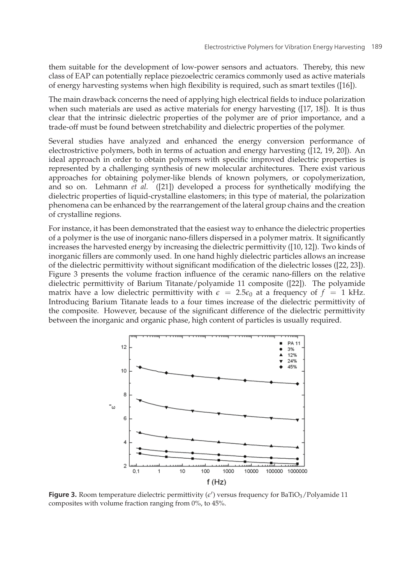them suitable for the development of low-power sensors and actuators. Thereby, this new class of EAP can potentially replace piezoelectric ceramics commonly used as active materials of energy harvesting systems when high flexibility is required, such as smart textiles ([16]).

The main drawback concerns the need of applying high electrical fields to induce polarization when such materials are used as active materials for energy harvesting ([17, 18]). It is thus clear that the intrinsic dielectric properties of the polymer are of prior importance, and a trade-off must be found between stretchability and dielectric properties of the polymer.

Several studies have analyzed and enhanced the energy conversion performance of electrostrictive polymers, both in terms of actuation and energy harvesting ([12, 19, 20]). An ideal approach in order to obtain polymers with specific improved dielectric properties is represented by a challenging synthesis of new molecular architectures. There exist various approaches for obtaining polymer-like blends of known polymers, or copolymerization, and so on. Lehmann *et al.* ([21]) developed a process for synthetically modifying the dielectric properties of liquid-crystalline elastomers; in this type of material, the polarization phenomena can be enhanced by the rearrangement of the lateral group chains and the creation of crystalline regions.

For instance, it has been demonstrated that the easiest way to enhance the dielectric properties of a polymer is the use of inorganic nano-fillers dispersed in a polymer matrix. It significantly increases the harvested energy by increasing the dielectric permittivity ([10, 12]). Two kinds of inorganic fillers are commonly used. In one hand highly dielectric particles allows an increase of the dielectric permittivity without significant modification of the dielectric losses ([22, 23]). Figure 3 presents the volume fraction influence of the ceramic nano-fillers on the relative dielectric permittivity of Barium Titanate/polyamide 11 composite ([22]). The polyamide matrix have a low dielectric permittivity with  $\epsilon = 2.5\epsilon_0$  at a frequency of  $f = 1$  kHz. Introducing Barium Titanate leads to a four times increase of the dielectric permittivity of the composite. However, because of the significant difference of the dielectric permittivity between the inorganic and organic phase, high content of particles is usually required.



**Figure 3.** Room temperature dielectric permittivity  $(\epsilon')$  versus frequency for BaTiO<sub>3</sub>/Polyamide 11 composites with volume fraction ranging from  $0\%$ , to  $45\%$ composites with volume fraction ranging from 0%, to 45%.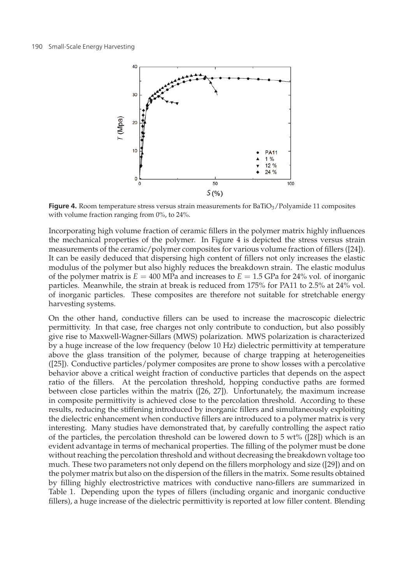

**Figure 4.** Room temperature stress versus strain measurements for BaTiO<sub>3</sub>/Polyamide 11 composites with volume fraction ranging from 0%, to 24%.

Incorporating high volume fraction of ceramic fillers in the polymer matrix highly influences the mechanical properties of the polymer. In Figure 4 is depicted the stress versus strain measurements of the ceramic/polymer composites for various volume fraction of fillers ([24]). It can be easily deduced that dispersing high content of fillers not only increases the elastic modulus of the polymer but also highly reduces the breakdown strain. The elastic modulus of the polymer matrix is  $E = 400$  MPa and increases to  $E = 1.5$  GPa for 24% vol. of inorganic particles. Meanwhile, the strain at break is reduced from 175% for PA11 to 2.5% at 24% vol. of inorganic particles. These composites are therefore not suitable for stretchable energy harvesting systems.

On the other hand, conductive fillers can be used to increase the macroscopic dielectric permittivity. In that case, free charges not only contribute to conduction, but also possibly give rise to Maxwell-Wagner-Sillars (MWS) polarization. MWS polarization is characterized by a huge increase of the low frequency (below 10 Hz) dielectric permittivity at temperature above the glass transition of the polymer, because of charge trapping at heterogeneities ([25]). Conductive particles/polymer composites are prone to show losses with a percolative behavior above a critical weight fraction of conductive particles that depends on the aspect ratio of the fillers. At the percolation threshold, hopping conductive paths are formed between close particles within the matrix ([26, 27]). Unfortunately, the maximum increase in composite permittivity is achieved close to the percolation threshold. According to these results, reducing the stiffening introduced by inorganic fillers and simultaneously exploiting the dielectric enhancement when conductive fillers are introduced to a polymer matrix is very interesting. Many studies have demonstrated that, by carefully controlling the aspect ratio of the particles, the percolation threshold can be lowered down to  $5 \text{ wt}$ % ([28]) which is an evident advantage in terms of mechanical properties. The filling of the polymer must be done without reaching the percolation threshold and without decreasing the breakdown voltage too much. These two parameters not only depend on the fillers morphology and size ([29]) and on the polymer matrix but also on the dispersion of the fillers in the matrix. Some results obtained by filling highly electrostrictive matrices with conductive nano-fillers are summarized in Table 1. Depending upon the types of fillers (including organic and inorganic conductive fillers), a huge increase of the dielectric permittivity is reported at low filler content. Blending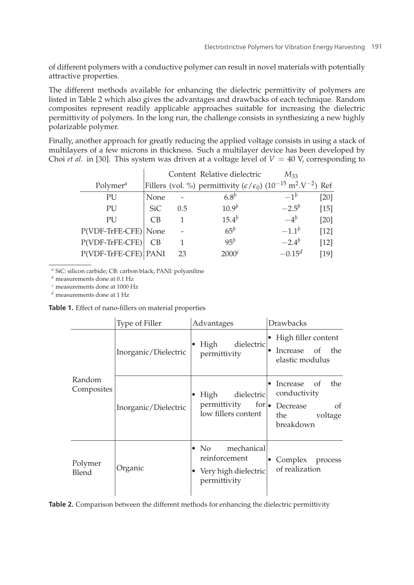of different polymers with a conductive polymer can result in novel materials with potentially attractive properties.

The different methods available for enhancing the dielectric permittivity of polymers are listed in Table 2 which also gives the advantages and drawbacks of each technique. Random composites represent readily applicable approaches suitable for increasing the dielectric permittivity of polymers. In the long run, the challenge consists in synthesizing a new highly polarizable polymer.

Finally, another approach for greatly reducing the applied voltage consists in using a stack of multilayers of a few microns in thickness. Such a multilayer device has been developed by Choi *et al.* in [30]. This system was driven at a voltage level of  $V = 40$  V, corresponding to

|                                   | Content Relative dielectric |     |                                                                                                                  | $M_{33}$    |        |
|-----------------------------------|-----------------------------|-----|------------------------------------------------------------------------------------------------------------------|-------------|--------|
| Polymer <sup><math>a</math></sup> |                             |     | Fillers (vol. %) permittivity ( $\epsilon/\epsilon_0$ ) (10 <sup>-15</sup> m <sup>2</sup> .V <sup>-2</sup> ) Ref |             |        |
| PU                                | None                        |     | 6.8 <sup>b</sup>                                                                                                 | $-1^b$      | [20]   |
| PU                                | SiC.                        | 0.5 | $10.9^{b}$                                                                                                       | $-2.5^{b}$  | $[15]$ |
| PU                                | C <sub>B</sub>              |     | $15.4^{b}$                                                                                                       | $-4^b$      | [20]   |
| P(VDF-TrFE-CFE) None              |                             |     | $65^b$                                                                                                           | $-1.1^{b}$  | [12]   |
| $P(VDF-TrFE-CFE)$                 | <b>CB</b>                   |     | $95^b$                                                                                                           | $-2.4^{b}$  | $[12]$ |
| P(VDF-TrFE-CFE) PANI              |                             | 23  | 2000 <sup>c</sup>                                                                                                | $-0.15^{d}$ | [19]   |
|                                   |                             |     |                                                                                                                  |             |        |

*<sup>a</sup>* SiC: silicon carbide; CB: carbon black; PANI: polyaniline

*<sup>b</sup>* measurements done at 0.1 Hz

*<sup>c</sup>* measurements done at 1000 Hz

*<sup>d</sup>* measurements done at 1 Hz

**Table 1.** Effect of nano-fillers on material properties

|                      | Type of Filler       | Advantages                                                                                      | Drawbacks                                                                                        |  |
|----------------------|----------------------|-------------------------------------------------------------------------------------------------|--------------------------------------------------------------------------------------------------|--|
|                      | Inorganic/Dielectric | dielectric<br>High<br>permittivity                                                              | $\bullet$ High filler content<br>Increase of the<br>$\bullet$<br>elastic modulus                 |  |
| Random<br>Composites | Inorganic/Dielectric | High<br>dielectric<br>permittivity<br>$for \bullet$<br>low fillers content                      | the<br>Increase of<br>$\bullet$<br>conductivity<br>of<br>Decrease<br>the<br>voltage<br>breakdown |  |
| Polymer<br>Blend     | Organic              | mechanical<br>$\bullet$ No $\bullet$<br>reinforcement<br>• Very high dielectric<br>permittivity | Complex process<br>of realization                                                                |  |

**Table 2.** Comparison between the different methods for enhancing the dielectric permittivity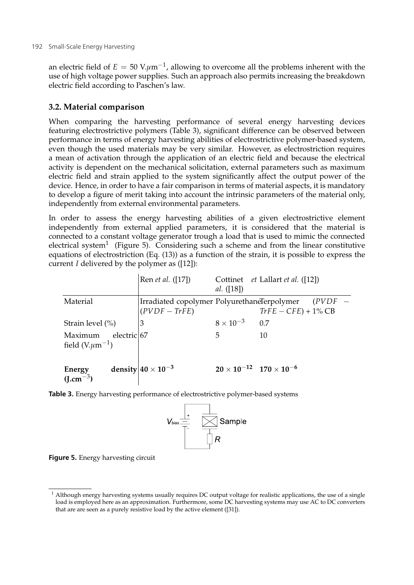an electric field of  $E = 50$  V. $\mu$ m<sup>-1</sup>, allowing to overcome all the problems inherent with the use of high voltage power supplies. Such an approach also permits increasing the breakdown electric field according to Paschen's law.

## **3.2. Material comparison**

When comparing the harvesting performance of several energy harvesting devices featuring electrostrictive polymers (Table 3), significant difference can be observed between performance in terms of energy harvesting abilities of electrostrictive polymer-based system, even though the used materials may be very similar. However, as electrostriction requires a mean of activation through the application of an electric field and because the electrical activity is dependent on the mechanical solicitation, external parameters such as maximum electric field and strain applied to the system significantly affect the output power of the device. Hence, in order to have a fair comparison in terms of material aspects, it is mandatory to develop a figure of merit taking into account the intrinsic parameters of the material only, independently from external environmental parameters.

In order to assess the energy harvesting abilities of a given electrostrictive element independently from external applied parameters, it is considered that the material is connected to a constant voltage generator trough a load that is used to mimic the connected electrical system<sup>1</sup> (Figure 5). Considering such a scheme and from the linear constitutive equations of electrostriction (Eq. (13)) as a function of the strain, it is possible to express the current *I* delivered by the polymer as ([12]):

|                                                  | Ren <i>et al.</i> ([17])                                        | al. $([18])$                              | Cottinet <i>et Lallart et al.</i> ([12]) |
|--------------------------------------------------|-----------------------------------------------------------------|-------------------------------------------|------------------------------------------|
| Material                                         | Irradiated copolymer PolyurethaneTerpolymer<br>$ (PVDF - TrFE)$ |                                           | (PVDF<br>$TrFE - CFE$ ) + 1% CB          |
| Strain level $(\% )$                             | 3                                                               | $8 \times 10^{-3}$                        | 0.7                                      |
| electric 67<br>Maximum<br>field $(V.\mu m^{-1})$ |                                                                 | 5                                         | 10                                       |
| Energy<br>$(I.cm^{-3})$                          | density $ 40 \times 10^{-3} $                                   | $20 \times 10^{-12}$ $170 \times 10^{-6}$ |                                          |

**Table 3.** Energy harvesting performance of electrostrictive polymer-based systems



**Figure 5.** Energy harvesting circuit

<sup>&</sup>lt;sup>1</sup> Although energy harvesting systems usually requires DC output voltage for realistic applications, the use of a single load is employed here as an approximation. Furthermore, some DC harvesting systems may use AC to DC converters that are are seen as a purely resistive load by the active element ([31]).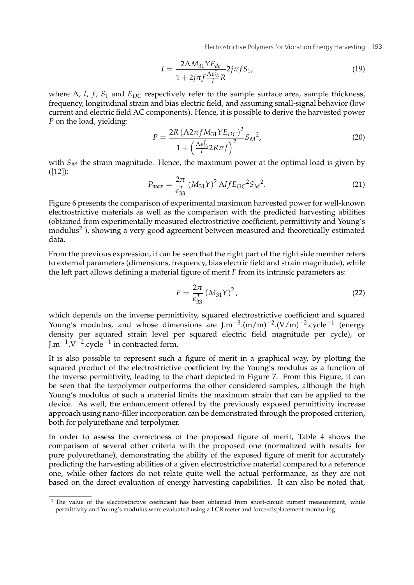Electrostrictive Polymers for Vibration Energy Harvesting 193

$$
I = \frac{2\Lambda M_{31} Y E_{dc}}{1 + 2j\pi f \frac{\Lambda \epsilon_{33}^T}{l} R} 2j\pi f S_1,
$$
\n(19)

where  $\Lambda$ , *l*, *f*, *S*<sub>1</sub> and *E<sub>DC</sub>* respectively refer to the sample surface area, sample thickness, frequency, longitudinal strain and bias electric field, and assuming small-signal behavior (low current and electric field AC components). Hence, it is possible to derive the harvested power *P* on the load, yielding:

$$
P = \frac{2R\left(\Lambda 2\pi f M_{31} Y E_{DC}\right)^2}{1 + \left(\frac{\Lambda \epsilon_{33}^T}{l} 2R\pi f\right)^2} S_M^2,
$$
\n(20)

with  $S_M$  the strain magnitude. Hence, the maximum power at the optimal load is given by  $(I12]$ :

$$
P_{max} = \frac{2\pi}{\epsilon_{33}^T} (M_{31}Y)^2 \Lambda I f E_{DC}{}^2 S_M{}^2.
$$
 (21)

Figure 6 presents the comparison of experimental maximum harvested power for well-known electrostrictive materials as well as the comparison with the predicted harvesting abilities (obtained from experimentally measured electrostrictive coefficient, permittivity and Young's modulus2 ), showing a very good agreement between measured and theoretically estimated data.

From the previous expression, it can be seen that the right part of the right side member refers to external parameters (dimensions, frequency, bias electric field and strain magnitude), while the left part allows defining a material figure of merit *F* from its intrinsic parameters as:

$$
F = \frac{2\pi}{\epsilon_{33}^T} \left( M_{31} Y \right)^2, \tag{22}
$$

which depends on the inverse permittivity, squared electrostrictive coefficient and squared Young's modulus, and whose dimensions are  $\text{Im}^{-3} \cdot (\text{m/m})^{-2} \cdot (\text{V/m})^{-2} \cdot \text{cycle}^{-1}$  (energy density per squared strain level per squared electric field magnitude per cycle), or J.m<sup> $-1$ </sup>.V<sup> $-2$ </sup>.cycle<sup> $-1$ </sup> in contracted form.

It is also possible to represent such a figure of merit in a graphical way, by plotting the squared product of the electrostrictive coefficient by the Young's modulus as a function of the inverse permittivity, leading to the chart depicted in Figure 7. From this Figure, it can be seen that the terpolymer outperforms the other considered samples, although the high Young's modulus of such a material limits the maximum strain that can be applied to the device. As well, the enhancement offered by the previously exposed permittivity increase approach using nano-filler incorporation can be demonstrated through the proposed criterion, both for polyurethane and terpolymer.

In order to assess the correctness of the proposed figure of merit, Table 4 shows the comparison of several other criteria with the proposed one (normalized with results for pure polyurethane), demonstrating the ability of the exposed figure of merit for accurately predicting the harvesting abilities of a given electrostrictive material compared to a reference one, while other factors do not relate quite well the actual performance, as they are not based on the direct evaluation of energy harvesting capabilities. It can also be noted that,

<sup>&</sup>lt;sup>2</sup> The value of the electrostrictive coefficient has been obtained from short-circuit current measurement, while permittivity and Young's modulus were evaluated using a LCR meter and force-displacement monitoring.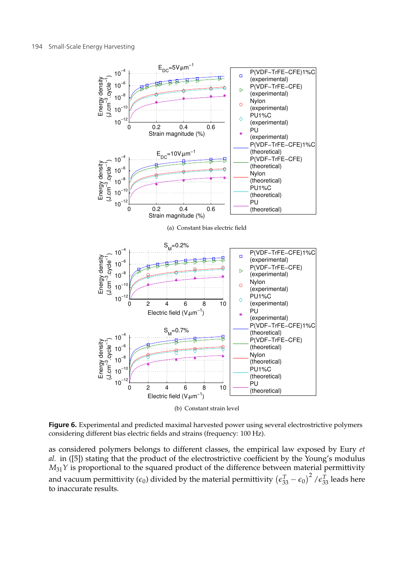

(b) Constant strain level

**Figure 6.** Experimental and predicted maximal harvested power using several electrostrictive polymers considering different bias electric fields and strains (frequency: 100 Hz).

as considered polymers belongs to different classes, the empirical law exposed by Eury *et al.* in ([5]) stating that the product of the electrostrictive coefficient by the Young's modulus  $M_{31}Y$  is proportional to the squared product of the difference between material permittivity and vacuum permittivity ( $\epsilon_0$ ) divided by the material permittivity  $(\epsilon_{33}^T-\epsilon_0)^2$  / $\epsilon_{33}^T$  leads here to inaccurate results.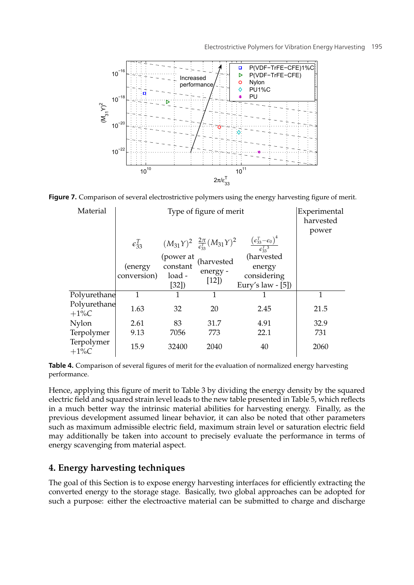

**Figure 7.** Comparison of several electrostrictive polymers using the energy harvesting figure of merit.

| Material                |                         | Type of figure of merit                 |                                                        |                                                                     | Experimental<br>harvested<br>power |
|-------------------------|-------------------------|-----------------------------------------|--------------------------------------------------------|---------------------------------------------------------------------|------------------------------------|
|                         | $\epsilon_{33}^T$       |                                         | $(M_{31}Y)^2 \frac{2\pi}{\epsilon_{33}^T} (M_{31}Y)^2$ | $\frac{\left(\epsilon_{33}^T-\epsilon_0\right)^4}{\epsilon_{33}^T}$ |                                    |
|                         | (energy)<br>conversion) | (power at<br>constant<br>load -<br>[32] | (harvested<br>energy -<br>$[12]$                       | (harvested<br>energy<br>considering<br>Eury's law $-[5]$            |                                    |
| Polyurethane            | 1                       |                                         | 1                                                      |                                                                     | 1                                  |
| Polyurethane<br>$+1\%C$ | 1.63                    | 32                                      | 20                                                     | 2.45                                                                | 21.5                               |
| Nylon                   | 2.61                    | 83                                      | 31.7                                                   | 4.91                                                                | 32.9                               |
| Terpolymer              | 9.13                    | 7056                                    | 773                                                    | 22.1                                                                | 731                                |
| Terpolymer<br>$+1\%C$   | 15.9                    | 32400                                   | 2040                                                   | 40                                                                  | 2060                               |

**Table 4.** Comparison of several figures of merit for the evaluation of normalized energy harvesting performance.

Hence, applying this figure of merit to Table 3 by dividing the energy density by the squared electric field and squared strain level leads to the new table presented in Table 5, which reflects in a much better way the intrinsic material abilities for harvesting energy. Finally, as the previous development assumed linear behavior, it can also be noted that other parameters such as maximum admissible electric field, maximum strain level or saturation electric field may additionally be taken into account to precisely evaluate the performance in terms of energy scavenging from material aspect.

## **4. Energy harvesting techniques**

The goal of this Section is to expose energy harvesting interfaces for efficiently extracting the converted energy to the storage stage. Basically, two global approaches can be adopted for such a purpose: either the electroactive material can be submitted to charge and discharge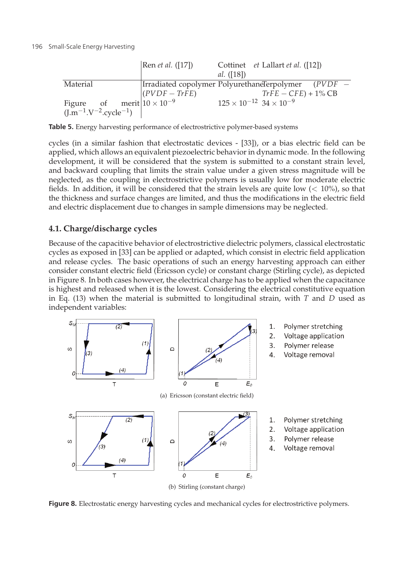|                                                                                                   | Ren <i>et al.</i> ([17])                                    | <i>al.</i> ([18])                         | Cottinet <i>et Lallart et al.</i> ([12]) |
|---------------------------------------------------------------------------------------------------|-------------------------------------------------------------|-------------------------------------------|------------------------------------------|
| Material                                                                                          | $\vert$ Irradiated copolymer PolyurethaneTerpolymer (PVDF – |                                           |                                          |
|                                                                                                   | $(PVDF - TrFE)$                                             |                                           | $TrFE - CFE$ ) + 1% CB                   |
| Figure of merit $10 \times 10^{-9}$<br>(J.m <sup>-1</sup> .V <sup>-2</sup> .cycle <sup>-1</sup> ) |                                                             | $125 \times 10^{-12}$ 34 $\times 10^{-9}$ |                                          |
|                                                                                                   |                                                             |                                           |                                          |

**Table 5.** Energy harvesting performance of electrostrictive polymer-based systems

cycles (in a similar fashion that electrostatic devices - [33]), or a bias electric field can be applied, which allows an equivalent piezoelectric behavior in dynamic mode. In the following development, it will be considered that the system is submitted to a constant strain level, and backward coupling that limits the strain value under a given stress magnitude will be neglected, as the coupling in electrostrictive polymers is usually low for moderate electric fields. In addition, it will be considered that the strain levels are quite low  $(< 10\%)$ , so that the thickness and surface changes are limited, and thus the modifications in the electric field and electric displacement due to changes in sample dimensions may be neglected.

## **4.1. Charge/discharge cycles**

Because of the capacitive behavior of electrostrictive dielectric polymers, classical electrostatic cycles as exposed in [33] can be applied or adapted, which consist in electric field application and release cycles. The basic operations of such an energy harvesting approach can either consider constant electric field (Ericsson cycle) or constant charge (Stirling cycle), as depicted in Figure 8. In both cases however, the electrical charge has to be applied when the capacitance is highest and released when it is the lowest. Considering the electrical constitutive equation in Eq. (13) when the material is submitted to longitudinal strain, with *T* and *D* used as independent variables:



**Figure 8.** Electrostatic energy harvesting cycles and mechanical cycles for electrostrictive polymers.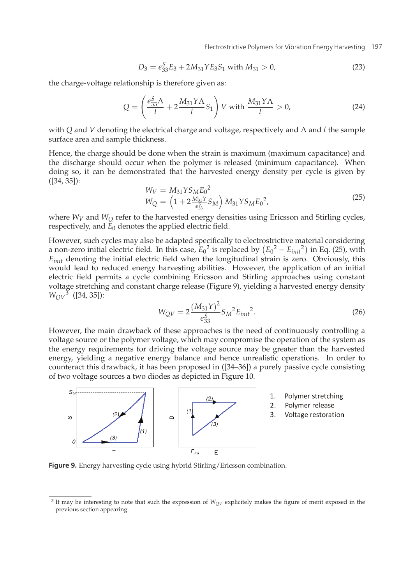Electrostrictive Polymers for Vibration Energy Harvesting 197

$$
D_3 = \epsilon_{33}^S E_3 + 2M_{31} Y E_3 S_1 \text{ with } M_{31} > 0,
$$
\n(23)

the charge-voltage relationship is therefore given as:

$$
Q = \left(\frac{\epsilon_{33}^S \Lambda}{l} + 2\frac{M_{31} Y \Lambda}{l} S_1\right) V \text{ with } \frac{M_{31} Y \Lambda}{l} > 0,
$$
 (24)

with *Q* and *V* denoting the electrical charge and voltage, respectively and Λ and *l* the sample surface area and sample thickness.

Hence, the charge should be done when the strain is maximum (maximum capacitance) and the discharge should occur when the polymer is released (minimum capacitance). When doing so, it can be demonstrated that the harvested energy density per cycle is given by ([34, 35]):

$$
W_V = M_{31} Y S_M E_0^2
$$
  
\n
$$
W_Q = \left(1 + 2 \frac{M_{31} Y}{\epsilon_{33}^S} S_M\right) M_{31} Y S_M E_0^2,
$$
\n(25)

where  $W_V$  and  $W_O$  refer to the harvested energy densities using Ericsson and Stirling cycles, respectively, and  $\vec{E}_0$  denotes the applied electric field.

However, such cycles may also be adapted specifically to electrostrictive material considering a non-zero initial electric field. In this case,  $E_0^2$  is replaced by  $(E_0^2 - E_{init}^2)$  in Eq. (25), with *Einit* denoting the initial electric field when the longitudinal strain is zero. Obviously, this would lead to reduced energy harvesting abilities. However, the application of an initial electric field permits a cycle combining Ericsson and Stirling approaches using constant voltage stretching and constant charge release (Figure 9), yielding a harvested energy density *WQV* <sup>3</sup> ([34, 35]):

$$
W_{QV} = 2\frac{(M_{31}Y)^2}{\epsilon_{33}^S} S_M^2 E_{init}^2.
$$
 (26)

However, the main drawback of these approaches is the need of continuously controlling a voltage source or the polymer voltage, which may compromise the operation of the system as the energy requirements for driving the voltage source may be greater than the harvested energy, yielding a negative energy balance and hence unrealistic operations. In order to counteract this drawback, it has been proposed in ([34–36]) a purely passive cycle consisting of two voltage sources a two diodes as depicted in Figure 10.



**Figure 9.** Energy harvesting cycle using hybrid Stirling/Ericsson combination.

<sup>&</sup>lt;sup>3</sup> It may be interesting to note that such the expression of  $W_{QV}$  explicitely makes the figure of merit exposed in the previous section appearing.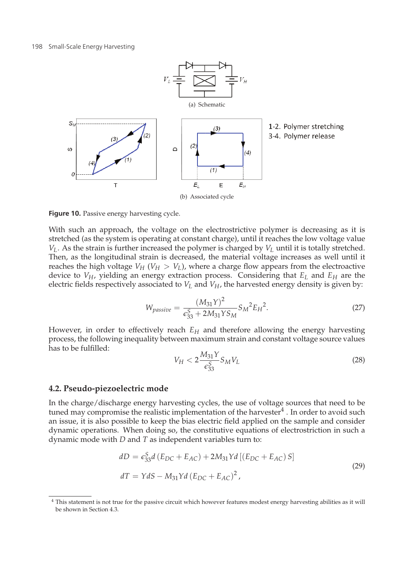

**Figure 10.** Passive energy harvesting cycle.

With such an approach, the voltage on the electrostrictive polymer is decreasing as it is stretched (as the system is operating at constant charge), until it reaches the low voltage value  $V_L$ . As the strain is further increased the polymer is charged by  $V_L$  until it is totally stretched. Then, as the longitudinal strain is decreased, the material voltage increases as well until it reaches the high voltage  $V_H$  ( $V_H > V_L$ ), where a charge flow appears from the electroactive device to  $V_H$ , yielding an energy extraction process. Considering that  $E_L$  and  $E_H$  are the electric fields respectively associated to  $V_L$  and  $V_H$ , the harvested energy density is given by:

$$
W_{passive} = \frac{(M_{31}Y)^2}{\epsilon_{33}^S + 2M_{31}YS_M} S_M{}^2 E_H{}^2.
$$
 (27)

However, in order to effectively reach  $E_H$  and therefore allowing the energy harvesting process, the following inequality between maximum strain and constant voltage source values has to be fulfilled:

$$
V_H < 2 \frac{M_{31} Y}{\epsilon_{33}^S} S_M V_L \tag{28}
$$

### **4.2. Pseudo-piezoelectric mode**

In the charge/discharge energy harvesting cycles, the use of voltage sources that need to be tuned may compromise the realistic implementation of the harvester $4$ . In order to avoid such an issue, it is also possible to keep the bias electric field applied on the sample and consider dynamic operations. When doing so, the constitutive equations of electrostriction in such a dynamic mode with *D* and *T* as independent variables turn to:

$$
dD = \epsilon_{33}^{S} d \left( E_{DC} + E_{AC} \right) + 2M_{31} Y d \left[ \left( E_{DC} + E_{AC} \right) S \right]
$$
  

$$
dT = Y dS - M_{31} Y d \left( E_{DC} + E_{AC} \right)^{2},
$$
 (29)

<sup>4</sup> This statement is not true for the passive circuit which however features modest energy harvesting abilities as it will be shown in Section 4.3.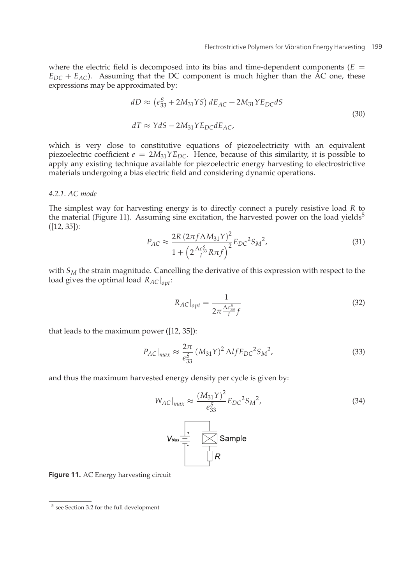where the electric field is decomposed into its bias and time-dependent components  $(E =$  $E_{DC} + E_{AC}$ ). Assuming that the DC component is much higher than the  $AC$  one, these expressions may be approximated by:

$$
dD \approx \left(\epsilon_{33}^S + 2M_{31}YS\right) dE_{AC} + 2M_{31}Y E_{DC} dS
$$
  

$$
dT \approx Y dS - 2M_{31}Y E_{DC} dE_{AC},
$$
\n(30)

which is very close to constitutive equations of piezoelectricity with an equivalent piezoelectric coefficient  $e = 2M_{31}YE_{DC}$ . Hence, because of this similarity, it is possible to apply any existing technique available for piezoelectric energy harvesting to electrostrictive materials undergoing a bias electric field and considering dynamic operations.

#### *4.2.1. AC mode*

The simplest way for harvesting energy is to directly connect a purely resistive load *R* to the material (Figure 11). Assuming sine excitation, the harvested power on the load yields<sup>5</sup> ([12, 35]):

$$
P_{AC} \approx \frac{2R\left(2\pi f \Lambda M_{31}Y\right)^2}{1 + \left(2\frac{\Lambda \epsilon_{33}^S}{l} R \pi f\right)^2} E_{DC}{}^2 S_M{}^2,\tag{31}
$$

with  $S_M$  the strain magnitude. Cancelling the derivative of this expression with respect to the load gives the optimal load *RAC*|*opt*:

$$
R_{AC}|_{opt} = \frac{1}{2\pi \frac{\Lambda \epsilon_{33}^S}{l} f}
$$
 (32)

that leads to the maximum power ([12, 35]):

$$
P_{AC}|_{max} \approx \frac{2\pi}{\epsilon_{33}^S} (M_{31}Y)^2 \Lambda I f E_{DC}{}^2 S_M{}^2,
$$
\n(33)

and thus the maximum harvested energy density per cycle is given by:

$$
W_{AC}|_{max} \approx \frac{(M_{31}Y)^2}{\epsilon_{33}^S} E_{DC}{}^2 S_M{}^2,
$$
 (34)



**Figure 11.** AC Energy harvesting circuit

 $^5$  see Section 3.2 for the full development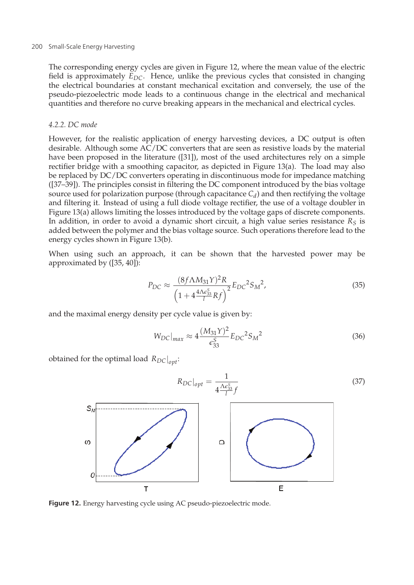The corresponding energy cycles are given in Figure 12, where the mean value of the electric field is approximately  $E_{DC}$ . Hence, unlike the previous cycles that consisted in changing the electrical boundaries at constant mechanical excitation and conversely, the use of the pseudo-piezoelectric mode leads to a continuous change in the electrical and mechanical quantities and therefore no curve breaking appears in the mechanical and electrical cycles.

#### *4.2.2. DC mode*

However, for the realistic application of energy harvesting devices, a DC output is often desirable. Although some AC/DC converters that are seen as resistive loads by the material have been proposed in the literature ([31]), most of the used architectures rely on a simple rectifier bridge with a smoothing capacitor, as depicted in Figure 13(a). The load may also be replaced by DC/DC converters operating in discontinuous mode for impedance matching ([37–39]). The principles consist in filtering the DC component introduced by the bias voltage source used for polarization purpose (through capacitance  $C_d$ ) and then rectifying the voltage and filtering it. Instead of using a full diode voltage rectifier, the use of a voltage doubler in Figure 13(a) allows limiting the losses introduced by the voltage gaps of discrete components. In addition, in order to avoid a dynamic short circuit, a high value series resistance  $R<sub>S</sub>$  is added between the polymer and the bias voltage source. Such operations therefore lead to the energy cycles shown in Figure 13(b).

When using such an approach, it can be shown that the harvested power may be approximated by ([35, 40]):

$$
P_{DC} \approx \frac{(8f\Lambda M_{31}Y)^2R}{\left(1 + 4\frac{4\Lambda\epsilon_{33}^S}{l}Rf\right)^2}E_{DC}{}^2S_M{}^2,
$$
\n(35)

and the maximal energy density per cycle value is given by:

$$
W_{DC}|_{max} \approx 4 \frac{(M_{31} \gamma)^2}{\epsilon_{33}^S} E_{DC}{}^2 S_M{}^2
$$
 (36)

obtained for the optimal load *RDC*|*opt*:



**Figure 12.** Energy harvesting cycle using AC pseudo-piezoelectric mode.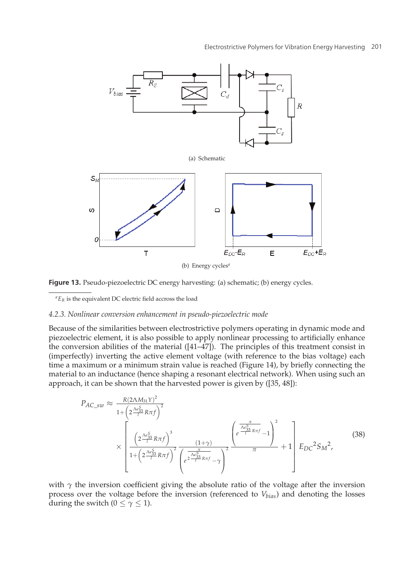

Figure 13. Pseudo-piezoelectric DC energy harvesting: (a) schematic; (b) energy cycles.

 ${}^aE_R$  is the equivalent DC electric field accross the load

#### *4.2.3. Nonlinear conversion enhancement in pseudo-piezoelectric mode*

Because of the similarities between electrostrictive polymers operating in dynamic mode and piezoelectric element, it is also possible to apply nonlinear processing to artificially enhance the conversion abilities of the material  $([41-47])$ . The principles of this treatment consist in (imperfectly) inverting the active element voltage (with reference to the bias voltage) each time a maximum or a minimum strain value is reached (Figure 14), by briefly connecting the material to an inductance (hence shaping a resonant electrical network). When using such an approach, it can be shown that the harvested power is given by ([35, 48]):

$$
P_{AC\_sw} \approx \frac{R(2\Lambda M_{31}Y)^2}{1 + \left(2\frac{\Lambda e_{33}^S}{I^2}R\pi f\right)^2} \times \left[\frac{\left(2\frac{\Lambda e_{33}^S}{I^2}R\pi f\right)^3}{1 + \left(2\frac{\Lambda e_{33}^S}{I^2}R\pi f\right)^2} \frac{\left(1+\gamma\right)}{\left(e^{\frac{\Lambda e_{33}^T}{I^2}R\pi f}-\gamma\right)^2} + 1\right] E_{DC}^2 S_M^2,
$$
\n(38)

with  $\gamma$  the inversion coefficient giving the absolute ratio of the voltage after the inversion process over the voltage before the inversion (referenced to *Vbias*) and denoting the losses during the switch ( $0 \le \gamma \le 1$ ).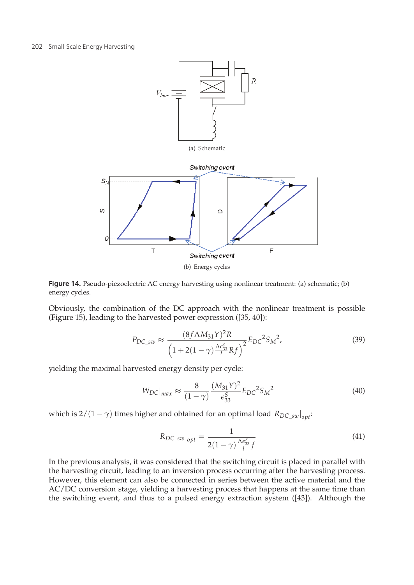

**Figure 14.** Pseudo-piezoelectric AC energy harvesting using nonlinear treatment: (a) schematic; (b) energy cycles.

Obviously, the combination of the DC approach with the nonlinear treatment is possible (Figure 15), leading to the harvested power expression ([35, 40]):

$$
P_{DC\_sw} \approx \frac{(8f\Lambda M_{31}Y)^2R}{\left(1+2(1-\gamma)\frac{\Lambda c_{33}^S}{l}Rf\right)^2}E_{DC}{}^2S_M{}^2,\tag{39}
$$

yielding the maximal harvested energy density per cycle:

$$
W_{DC}|_{max} \approx \frac{8}{(1-\gamma)} \frac{(M_{31}Y)^2}{\epsilon_{33}^S} E_{DC}{}^2 S_M{}^2
$$
 (40)

which is 2/(1 –  $\gamma$ ) times higher and obtained for an optimal load  $R_{DC\_sw}|_{opt}$ :

$$
R_{DC\_sw}|_{opt} = \frac{1}{2(1-\gamma)\frac{\Lambda \epsilon_{33}^S}{l}f}
$$
(41)

In the previous analysis, it was considered that the switching circuit is placed in parallel with the harvesting circuit, leading to an inversion process occurring after the harvesting process. However, this element can also be connected in series between the active material and the AC/DC conversion stage, yielding a harvesting process that happens at the same time than the switching event, and thus to a pulsed energy extraction system ([43]). Although the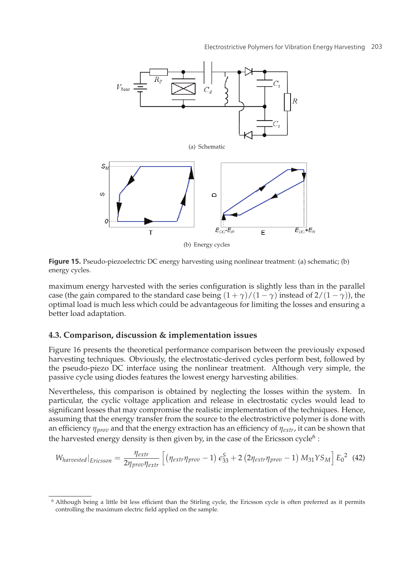

**Figure 15.** Pseudo-piezoelectric DC energy harvesting using nonlinear treatment: (a) schematic; (b) energy cycles.

maximum energy harvested with the series configuration is slightly less than in the parallel case (the gain compared to the standard case being  $(1 + \gamma)/(1 - \gamma)$  instead of  $2/(1 - \gamma)$ ), the optimal load is much less which could be advantageous for limiting the losses and ensuring a better load adaptation.

## **4.3. Comparison, discussion & implementation issues**

Figure 16 presents the theoretical performance comparison between the previously exposed harvesting techniques. Obviously, the electrostatic-derived cycles perform best, followed by the pseudo-piezo DC interface using the nonlinear treatment. Although very simple, the passive cycle using diodes features the lowest energy harvesting abilities.

Nevertheless, this comparison is obtained by neglecting the losses within the system. In particular, the cyclic voltage application and release in electrostatic cycles would lead to significant losses that may compromise the realistic implementation of the techniques. Hence, assuming that the energy transfer from the source to the electrostrictive polymer is done with an efficiency *ηprov* and that the energy extraction has an efficiency of *ηextr*, it can be shown that the harvested energy density is then given by, in the case of the Ericsson cycle<sup>6</sup> :

$$
W_{harvested}|_{Ericsson} = \frac{\eta_{extr}}{2\eta_{prov}\eta_{extr}} \left[ \left( \eta_{extr}\eta_{prov} - 1 \right) \epsilon_{33}^{S} + 2 \left( 2\eta_{extr}\eta_{prov} - 1 \right) M_{31} Y S_M \right] E_0^2 \tag{42}
$$

<sup>6</sup> Although being a little bit less efficient than the Stirling cycle, the Ericsson cycle is often preferred as it permits controlling the maximum electric field applied on the sample.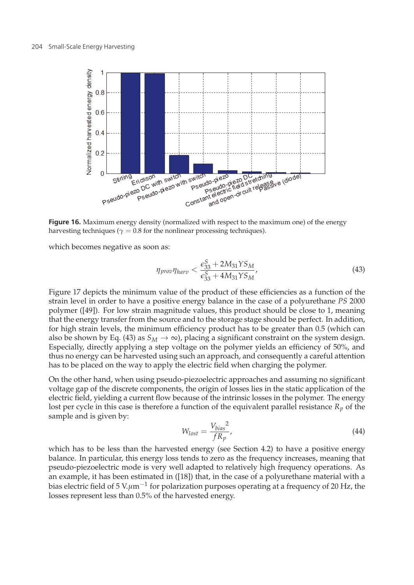

**Figure 16.** Maximum energy density (normalized with respect to the maximum one) of the energy harvesting techniques ( $\gamma = 0.8$  for the nonlinear processing techniques).

which becomes negative as soon as:

$$
\eta_{\text{prov}} \eta_{\text{harv}} < \frac{\epsilon_{33}^S + 2M_{31}YS_M}{\epsilon_{33}^S + 4M_{31}YS_M},\tag{43}
$$

Figure 17 depicts the minimum value of the product of these efficiencies as a function of the strain level in order to have a positive energy balance in the case of a polyurethane *PS* 2000 polymer ([49]). For low strain magnitude values, this product should be close to 1, meaning that the energy transfer from the source and to the storage stage should be perfect. In addition, for high strain levels, the minimum efficiency product has to be greater than 0.5 (which can also be shown by Eq. (43) as  $S_M \rightarrow \infty$ ), placing a significant constraint on the system design. Especially, directly applying a step voltage on the polymer yields an efficiency of 50%, and thus no energy can be harvested using such an approach, and consequently a careful attention has to be placed on the way to apply the electric field when charging the polymer.

On the other hand, when using pseudo-piezoelectric approaches and assuming no significant voltage gap of the discrete components, the origin of losses lies in the static application of the electric field, yielding a current flow because of the intrinsic losses in the polymer. The energy lost per cycle in this case is therefore a function of the equivalent parallel resistance  $R_p$  of the sample and is given by:

$$
W_{lost} = \frac{V_{bias}^2}{fR_p} \tag{44}
$$

which has to be less than the harvested energy (see Section 4.2) to have a positive energy balance. In particular, this energy loss tends to zero as the frequency increases, meaning that pseudo-piezoelectric mode is very well adapted to relatively high frequency operations. As an example, it has been estimated in ([18]) that, in the case of a polyurethane material with a bias electric field of 5 V.*μ*m−<sup>1</sup> for polarization purposes operating at a frequency of 20 Hz, the losses represent less than 0.5% of the harvested energy.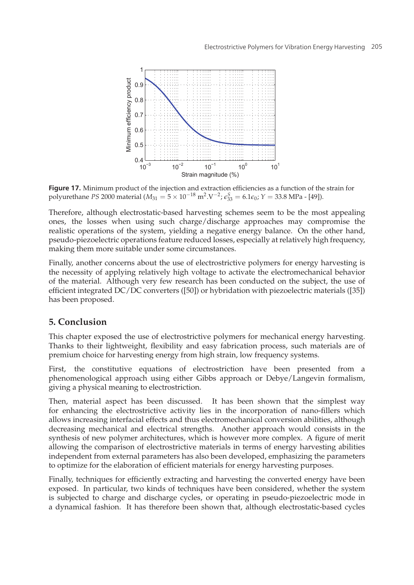

**Figure 17.** Minimum product of the injection and extraction efficiencies as a function of the strain for polyurethane *PS* 2000 material ( $M_{31} = 5 \times 10^{-18} \text{ m}^2$ .V<sup>-2</sup>;  $\epsilon_{33}^S = 6.1 \epsilon_0$ ;  $Y = 33.8 \text{ MPa}$  - [49]).

Therefore, although electrostatic-based harvesting schemes seem to be the most appealing ones, the losses when using such charge/discharge approaches may compromise the realistic operations of the system, yielding a negative energy balance. On the other hand, pseudo-piezoelectric operations feature reduced losses, especially at relatively high frequency, making them more suitable under some circumstances.

Finally, another concerns about the use of electrostrictive polymers for energy harvesting is the necessity of applying relatively high voltage to activate the electromechanical behavior of the material. Although very few research has been conducted on the subject, the use of efficient integrated DC/DC converters ([50]) or hybridation with piezoelectric materials ([35]) has been proposed.

## **5. Conclusion**

This chapter exposed the use of electrostrictive polymers for mechanical energy harvesting. Thanks to their lightweight, flexibility and easy fabrication process, such materials are of premium choice for harvesting energy from high strain, low frequency systems.

First, the constitutive equations of electrostriction have been presented from a phenomenological approach using either Gibbs approach or Debye/Langevin formalism, giving a physical meaning to electrostriction.

Then, material aspect has been discussed. It has been shown that the simplest way for enhancing the electrostrictive activity lies in the incorporation of nano-fillers which allows increasing interfacial effects and thus electromechanical conversion abilities, although decreasing mechanical and electrical strengths. Another approach would consists in the synthesis of new polymer architectures, which is however more complex. A figure of merit allowing the comparison of electrostrictive materials in terms of energy harvesting abilities independent from external parameters has also been developed, emphasizing the parameters to optimize for the elaboration of efficient materials for energy harvesting purposes.

Finally, techniques for efficiently extracting and harvesting the converted energy have been exposed. In particular, two kinds of techniques have been considered, whether the system is subjected to charge and discharge cycles, or operating in pseudo-piezoelectric mode in a dynamical fashion. It has therefore been shown that, although electrostatic-based cycles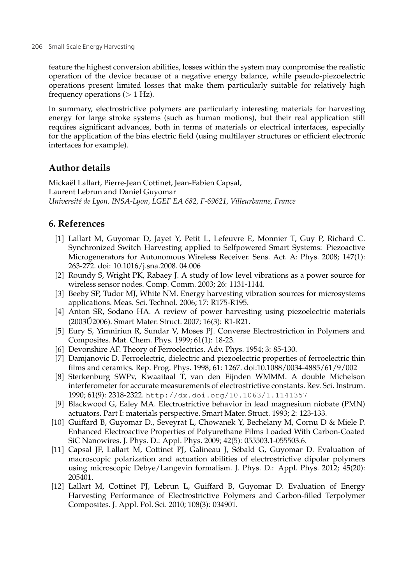feature the highest conversion abilities, losses within the system may compromise the realistic operation of the device because of a negative energy balance, while pseudo-piezoelectric operations present limited losses that make them particularly suitable for relatively high frequency operations  $(> 1 Hz)$ .

In summary, electrostrictive polymers are particularly interesting materials for harvesting energy for large stroke systems (such as human motions), but their real application still requires significant advances, both in terms of materials or electrical interfaces, especially for the application of the bias electric field (using multilayer structures or efficient electronic interfaces for example).

# **Author details**

Mickaël Lallart, Pierre-Jean Cottinet, Jean-Fabien Capsal, Laurent Lebrun and Daniel Guyomar *Université de Lyon, INSA-Lyon, LGEF EA 682, F-69621, Villeurbanne, France*

# **6. References**

- [1] Lallart M, Guyomar D, Jayet Y, Petit L, Lefeuvre E, Monnier T, Guy P, Richard C. Synchronized Switch Harvesting applied to Selfpowered Smart Systems: Piezoactive Microgenerators for Autonomous Wireless Receiver. Sens. Act. A: Phys. 2008; 147(1): 263-272. doi: 10.1016/j.sna.2008. 04.006
- [2] Roundy S, Wright PK, Rabaey J. A study of low level vibrations as a power source for wireless sensor nodes. Comp. Comm. 2003; 26: 1131-1144.
- [3] Beeby SP, Tudor MJ, White NM. Energy harvesting vibration sources for microsystems applications. Meas. Sci. Technol. 2006; 17: R175-R195.
- [4] Anton SR, Sodano HA. A review of power harvesting using piezoelectric materials (2003U2006). Smart Mater. Struct. 2007; 16(3): R1-R21. ˝
- [5] Eury S, Yimniriun R, Sundar V, Moses PJ. Converse Electrostriction in Polymers and Composites. Mat. Chem. Phys. 1999; 61(1): 18-23.
- [6] Devonshire AF. Theory of Ferroelectrics. Adv. Phys. 1954; 3: 85-130.
- [7] Damjanovic D. Ferroelectric, dielectric and piezoelectric properties of ferroelectric thin films and ceramics. Rep. Prog. Phys. 1998; 61: 1267. doi:10.1088/0034-4885/61/9/002
- [8] Sterkenburg SWPv, Kwaaitaal T, van den Eijnden WMMM. A double Michelson interferometer for accurate measurements of electrostrictive constants. Rev. Sci. Instrum. 1990; 61(9): 2318-2322. http://dx.doi.org/10.1063/1.1141357
- [9] Blackwood G, Ealey MA. Electrostrictive behavior in lead magnesium niobate (PMN) actuators. Part I: materials perspective. Smart Mater. Struct. 1993; 2: 123-133.
- [10] Guiffard B, Guyomar D., Seveyrat L, Chowanek Y, Bechelany M, Cornu D & Miele P. Enhanced Electroactive Properties of Polyurethane Films Loaded With Carbon-Coated SiC Nanowires. J. Phys. D.: Appl. Phys. 2009; 42(5): 055503.1-055503.6.
- [11] Capsal JF, Lallart M, Cottinet PJ, Galineau J, Sébald G, Guyomar D. Evaluation of macroscopic polarization and actuation abilities of electrostrictive dipolar polymers using microscopic Debye/Langevin formalism. J. Phys. D.: Appl. Phys. 2012; 45(20): 205401.
- [12] Lallart M, Cottinet PJ, Lebrun L, Guiffard B, Guyomar D. Evaluation of Energy Harvesting Performance of Electrostrictive Polymers and Carbon-filled Terpolymer Composites. J. Appl. Pol. Sci. 2010; 108(3): 034901.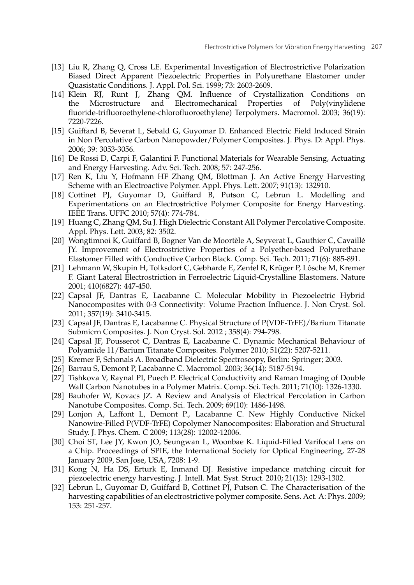- [13] Liu R, Zhang Q, Cross LE. Experimental Investigation of Electrostrictive Polarization Biased Direct Apparent Piezoelectric Properties in Polyurethane Elastomer under Quasistatic Conditions. J. Appl. Pol. Sci. 1999; 73: 2603-2609.
- [14] Klein RJ, Runt J, Zhang QM. Influence of Crystallization Conditions on the Microstructure and Electromechanical Properties of Poly(vinylidene fluoride-trifluoroethylene-chlorofluoroethylene) Terpolymers. Macromol. 2003; 36(19): 7220-7226.
- [15] Guiffard B, Severat L, Sebald G, Guyomar D. Enhanced Electric Field Induced Strain in Non Percolative Carbon Nanopowder/Polymer Composites. J. Phys. D: Appl. Phys. 2006; 39: 3053-3056.
- [16] De Rossi D, Carpi F, Galantini F. Functional Materials for Wearable Sensing, Actuating and Energy Harvesting. Adv. Sci. Tech. 2008; 57: 247-256.
- [17] Ren K, Liu Y, Hofmann HF Zhang QM, Blottman J. An Active Energy Harvesting Scheme with an Electroactive Polymer. Appl. Phys. Lett. 2007; 91(13): 132910.
- [18] Cottinet PJ, Guyomar D, Guiffard B, Putson C, Lebrun L. Modelling and Experimentations on an Electrostrictive Polymer Composite for Energy Harvesting. IEEE Trans. UFFC 2010; 57(4): 774-784.
- [19] Huang C, Zhang QM, Su J. High Dielectric Constant All Polymer Percolative Composite. Appl. Phys. Lett. 2003; 82: 3502.
- [20] Wongtimnoi K, Guiffard B, Bogner Van de Moortèle A, Seyverat L, Gauthier C, Cavaillé JY. Improvement of Electrostrictive Properties of a Polyether-based Polyurethane Elastomer Filled with Conductive Carbon Black. Comp. Sci. Tech. 2011; 71(6): 885-891.
- [21] Lehmann W, Skupin H, Tolksdorf C, Gebharde E, Zentel R, Krüger P, Lôsche M, Kremer F. Giant Lateral Electrostriction in Ferroelectric Liquid-Crystalline Elastomers. Nature 2001; 410(6827): 447-450.
- [22] Capsal JF, Dantras E, Lacabanne C. Molecular Mobility in Piezoelectric Hybrid Nanocomposites with 0-3 Connectivity: Volume Fraction Influence. J. Non Cryst. Sol. 2011; 357(19): 3410-3415.
- [23] Capsal JF, Dantras E, Lacabanne C. Physical Structure of P(VDF-TrFE)/Barium Titanate Submicrn Composites. J. Non Cryst. Sol. 2012 ; 358(4): 794-798.
- [24] Capsal JF, Pousserot C, Dantras E, Lacabanne C. Dynamic Mechanical Behaviour of Polyamide 11/Barium Titanate Composites. Polymer 2010; 51(22): 5207-5211.
- [25] Kremer F, Schonals A. Broadband Dielectric Spectroscopy, Berlin: Springer; 2003.
- [26] Barrau S, Demont P, Lacabanne C. Macromol. 2003; 36(14): 5187-5194.
- [27] Tishkova V, Raynal PI, Puech P. Electrical Conductivity and Raman Imaging of Double Wall Carbon Nanotubes in a Polymer Matrix. Comp. Sci. Tech. 2011; 71(10): 1326-1330.
- [28] Bauhofer W, Kovacs JZ. A Review and Analysis of Electrical Percolation in Carbon Nanotube Composites. Comp. Sci. Tech. 2009; 69(10): 1486-1498.
- [29] Lonjon A, Laffont L, Demont P., Lacabanne C. New Highly Conductive Nickel Nanowire-Filled P(VDF-TrFE) Copolymer Nanocomposites: Elaboration and Structural Study. J. Phys. Chem. C 2009; 113(28): 12002-12006.
- [30] Choi ST, Lee JY, Kwon JO, Seungwan L, Woonbae K. Liquid-Filled Varifocal Lens on a Chip. Proceedings of SPIE, the International Society for Optical Engineering, 27-28 January 2009, San Jose, USA, 7208: 1-9.
- [31] Kong N, Ha DS, Erturk E, Inmand DJ. Resistive impedance matching circuit for piezoelectric energy harvesting. J. Intell. Mat. Syst. Struct. 2010; 21(13): 1293-1302.
- [32] Lebrun L, Guyomar D, Guiffard B, Cottinet PJ, Putson C. The Characterisation of the harvesting capabilities of an electrostrictive polymer composite. Sens. Act. A: Phys. 2009; 153: 251-257.